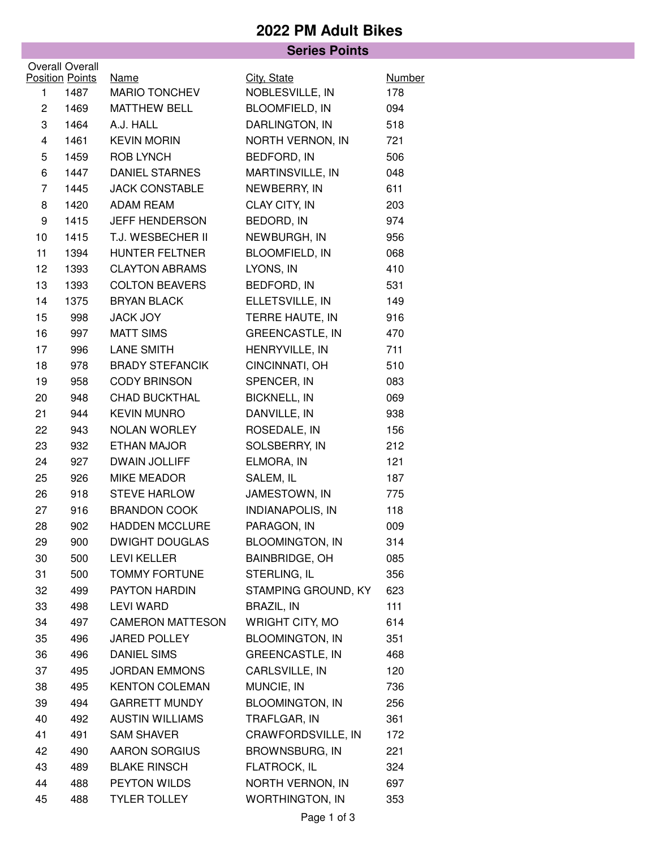## **2022 PM Adult Bikes**

|                                                  |      | <b>Series Points</b>         |                                |                      |  |  |  |  |
|--------------------------------------------------|------|------------------------------|--------------------------------|----------------------|--|--|--|--|
| <b>Overall Overall</b><br><b>Position Points</b> |      |                              |                                |                      |  |  |  |  |
| 1                                                | 1487 | <b>Name</b><br>MARIO TONCHEV | City, State<br>NOBLESVILLE, IN | <b>Number</b><br>178 |  |  |  |  |
| $\overline{c}$                                   | 1469 | <b>MATTHEW BELL</b>          | <b>BLOOMFIELD, IN</b>          | 094                  |  |  |  |  |
| 3                                                | 1464 | A.J. HALL                    | DARLINGTON, IN                 | 518                  |  |  |  |  |
| 4                                                | 1461 | <b>KEVIN MORIN</b>           | NORTH VERNON, IN               | 721                  |  |  |  |  |
| 5                                                | 1459 | <b>ROB LYNCH</b>             | BEDFORD, IN                    | 506                  |  |  |  |  |
| 6                                                | 1447 | <b>DANIEL STARNES</b>        | MARTINSVILLE, IN               | 048                  |  |  |  |  |
| 7                                                | 1445 | <b>JACK CONSTABLE</b>        | NEWBERRY, IN                   | 611                  |  |  |  |  |
| 8                                                | 1420 | <b>ADAM REAM</b>             | CLAY CITY, IN                  | 203                  |  |  |  |  |
| 9                                                | 1415 | JEFF HENDERSON               | BEDORD, IN                     | 974                  |  |  |  |  |
| 10                                               | 1415 | T.J. WESBECHER II            | NEWBURGH, IN                   | 956                  |  |  |  |  |
| 11                                               | 1394 | <b>HUNTER FELTNER</b>        | BLOOMFIELD, IN                 | 068                  |  |  |  |  |
| 12                                               | 1393 | <b>CLAYTON ABRAMS</b>        | LYONS, IN                      | 410                  |  |  |  |  |
| 13                                               | 1393 | <b>COLTON BEAVERS</b>        | BEDFORD, IN                    | 531                  |  |  |  |  |
| 14                                               | 1375 | <b>BRYAN BLACK</b>           | ELLETSVILLE, IN                | 149                  |  |  |  |  |
| 15                                               | 998  | <b>JACK JOY</b>              | TERRE HAUTE, IN                | 916                  |  |  |  |  |
| 16                                               | 997  | <b>MATT SIMS</b>             | <b>GREENCASTLE, IN</b>         | 470                  |  |  |  |  |
| 17                                               | 996  | LANE SMITH                   | HENRYVILLE, IN                 | 711                  |  |  |  |  |
| 18                                               | 978  | <b>BRADY STEFANCIK</b>       | CINCINNATI, OH                 | 510                  |  |  |  |  |
| 19                                               | 958  | <b>CODY BRINSON</b>          | SPENCER, IN                    | 083                  |  |  |  |  |
| 20                                               | 948  | <b>CHAD BUCKTHAL</b>         | <b>BICKNELL, IN</b>            | 069                  |  |  |  |  |
| 21                                               | 944  | <b>KEVIN MUNRO</b>           | DANVILLE, IN                   | 938                  |  |  |  |  |
| 22                                               | 943  | NOLAN WORLEY                 | ROSEDALE, IN                   | 156                  |  |  |  |  |
| 23                                               | 932  | ETHAN MAJOR                  | SOLSBERRY, IN                  | 212                  |  |  |  |  |
| 24                                               | 927  | <b>DWAIN JOLLIFF</b>         | ELMORA, IN                     | 121                  |  |  |  |  |
| 25                                               | 926  | MIKE MEADOR                  | SALEM, IL                      | 187                  |  |  |  |  |
| 26                                               | 918  | <b>STEVE HARLOW</b>          | JAMESTOWN, IN                  | 775                  |  |  |  |  |
| 27                                               | 916  | <b>BRANDON COOK</b>          | <b>INDIANAPOLIS, IN</b>        | 118                  |  |  |  |  |
| 28                                               | 902  | HADDEN MCCLURE               | PARAGON, IN                    | 009                  |  |  |  |  |
| 29                                               | 900  | <b>DWIGHT DOUGLAS</b>        | <b>BLOOMINGTON, IN</b>         | 314                  |  |  |  |  |
| 30                                               | 500  | <b>LEVI KELLER</b>           | <b>BAINBRIDGE, OH</b>          | 085                  |  |  |  |  |
| 31                                               | 500  | <b>TOMMY FORTUNE</b>         | STERLING, IL                   | 356                  |  |  |  |  |
| 32                                               | 499  | PAYTON HARDIN                | STAMPING GROUND, KY            | 623                  |  |  |  |  |
| 33                                               | 498  | <b>LEVI WARD</b>             | BRAZIL, IN                     | 111                  |  |  |  |  |
| 34                                               | 497  | <b>CAMERON MATTESON</b>      | WRIGHT CITY, MO                | 614                  |  |  |  |  |
| 35                                               | 496  | <b>JARED POLLEY</b>          | <b>BLOOMINGTON, IN</b>         | 351                  |  |  |  |  |
| 36                                               | 496  | <b>DANIEL SIMS</b>           | <b>GREENCASTLE, IN</b>         | 468                  |  |  |  |  |
| 37                                               | 495  | <b>JORDAN EMMONS</b>         | CARLSVILLE, IN                 | 120                  |  |  |  |  |
| 38                                               | 495  | <b>KENTON COLEMAN</b>        | MUNCIE, IN                     | 736                  |  |  |  |  |
| 39                                               | 494  | <b>GARRETT MUNDY</b>         | <b>BLOOMINGTON, IN</b>         | 256                  |  |  |  |  |
| 40                                               | 492  | <b>AUSTIN WILLIAMS</b>       | TRAFLGAR, IN                   | 361                  |  |  |  |  |
| 41                                               | 491  | <b>SAM SHAVER</b>            | CRAWFORDSVILLE, IN             | 172                  |  |  |  |  |
| 42                                               | 490  | <b>AARON SORGIUS</b>         | <b>BROWNSBURG, IN</b>          | 221                  |  |  |  |  |
| 43                                               | 489  | <b>BLAKE RINSCH</b>          | FLATROCK, IL                   | 324                  |  |  |  |  |
| 44                                               | 488  | PEYTON WILDS                 | NORTH VERNON, IN               | 697                  |  |  |  |  |
| 45                                               | 488  | <b>TYLER TOLLEY</b>          | <b>WORTHINGTON, IN</b>         | 353                  |  |  |  |  |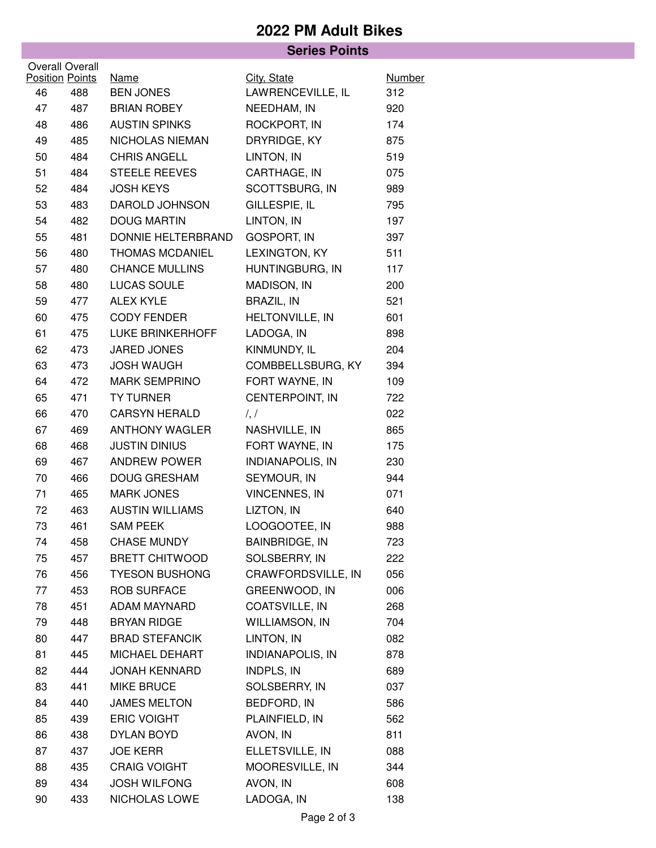## **2022 PM Adult Bikes**

|                        |     | <b>Series Points</b>            |                         |                      |
|------------------------|-----|---------------------------------|-------------------------|----------------------|
| <b>Overall Overall</b> |     |                                 |                         |                      |
| <b>Position Points</b> |     | <b>Name</b><br><b>BEN JONES</b> | City, State             | <b>Number</b><br>312 |
| 46                     | 488 |                                 | LAWRENCEVILLE, IL       |                      |
| 47                     | 487 | <b>BRIAN ROBEY</b>              | NEEDHAM, IN             | 920                  |
| 48                     | 486 | <b>AUSTIN SPINKS</b>            | ROCKPORT, IN            | 174                  |
| 49                     | 485 | NICHOLAS NIEMAN                 | DRYRIDGE, KY            | 875                  |
| 50                     | 484 | <b>CHRIS ANGELL</b>             | LINTON, IN              | 519                  |
| 51                     | 484 | <b>STEELE REEVES</b>            | CARTHAGE, IN            | 075                  |
| 52                     | 484 | <b>JOSH KEYS</b>                | SCOTTSBURG, IN          | 989                  |
| 53                     | 483 | DAROLD JOHNSON                  | GILLESPIE, IL           | 795                  |
| 54                     | 482 | <b>DOUG MARTIN</b>              | LINTON, IN              | 197                  |
| 55                     | 481 | DONNIE HELTERBRAND              | <b>GOSPORT, IN</b>      | 397                  |
| 56                     | 480 | <b>THOMAS MCDANIEL</b>          | LEXINGTON, KY           | 511                  |
| 57                     | 480 | <b>CHANCE MULLINS</b>           | HUNTINGBURG, IN         | 117                  |
| 58                     | 480 | LUCAS SOULE                     | MADISON, IN             | 200                  |
| 59                     | 477 | <b>ALEX KYLE</b>                | <b>BRAZIL, IN</b>       | 521                  |
| 60                     | 475 | <b>CODY FENDER</b>              | HELTONVILLE, IN         | 601                  |
| 61                     | 475 | LUKE BRINKERHOFF                | LADOGA, IN              | 898                  |
| 62                     | 473 | JARED JONES                     | KINMUNDY, IL            | 204                  |
| 63                     | 473 | <b>JOSH WAUGH</b>               | COMBBELLSBURG, KY       | 394                  |
| 64                     | 472 | <b>MARK SEMPRINO</b>            | FORT WAYNE, IN          | 109                  |
| 65                     | 471 | <b>TY TURNER</b>                | CENTERPOINT, IN         | 722                  |
| 66                     | 470 | <b>CARSYN HERALD</b>            | $\frac{1}{2}$           | 022                  |
| 67                     | 469 | <b>ANTHONY WAGLER</b>           | NASHVILLE, IN           | 865                  |
| 68                     | 468 | <b>JUSTIN DINIUS</b>            | FORT WAYNE, IN          | 175                  |
| 69                     | 467 | <b>ANDREW POWER</b>             | INDIANAPOLIS, IN        | 230                  |
| 70                     | 466 | <b>DOUG GRESHAM</b>             | SEYMOUR, IN             | 944                  |
| 71                     | 465 | <b>MARK JONES</b>               | <b>VINCENNES, IN</b>    | 071                  |
| 72                     | 463 | <b>AUSTIN WILLIAMS</b>          | LIZTON, IN              | 640                  |
| 73                     | 461 | <b>SAM PEEK</b>                 | LOOGOOTEE, IN           | 988                  |
| 74                     | 458 | <b>CHASE MUNDY</b>              | <b>BAINBRIDGE, IN</b>   | 723                  |
| 75                     | 457 | <b>BRETT CHITWOOD</b>           | SOLSBERRY, IN           | 222                  |
| 76                     | 456 | <b>TYESON BUSHONG</b>           | CRAWFORDSVILLE, IN      | 056                  |
| 77                     | 453 | <b>ROB SURFACE</b>              | GREENWOOD, IN           | 006                  |
| 78                     | 451 | ADAM MAYNARD                    | COATSVILLE, IN          | 268                  |
| 79                     | 448 | <b>BRYAN RIDGE</b>              | <b>WILLIAMSON, IN</b>   | 704                  |
| 80                     | 447 | <b>BRAD STEFANCIK</b>           | LINTON, IN              | 082                  |
| 81                     | 445 | MICHAEL DEHART                  | <b>INDIANAPOLIS, IN</b> | 878                  |
| 82                     | 444 | <b>JONAH KENNARD</b>            | INDPLS, IN              | 689                  |
| 83                     | 441 | <b>MIKE BRUCE</b>               | SOLSBERRY, IN           | 037                  |
| 84                     | 440 | <b>JAMES MELTON</b>             | BEDFORD, IN             | 586                  |
| 85                     | 439 | <b>ERIC VOIGHT</b>              | PLAINFIELD, IN          | 562                  |
| 86                     | 438 | DYLAN BOYD                      | AVON, IN                | 811                  |
| 87                     | 437 | <b>JOE KERR</b>                 | ELLETSVILLE, IN         | 088                  |
| 88                     | 435 | <b>CRAIG VOIGHT</b>             | MOORESVILLE, IN         | 344                  |
| 89                     | 434 | <b>JOSH WILFONG</b>             | AVON, IN                | 608                  |
| 90                     | 433 | NICHOLAS LOWE                   | LADOGA, IN              | 138                  |